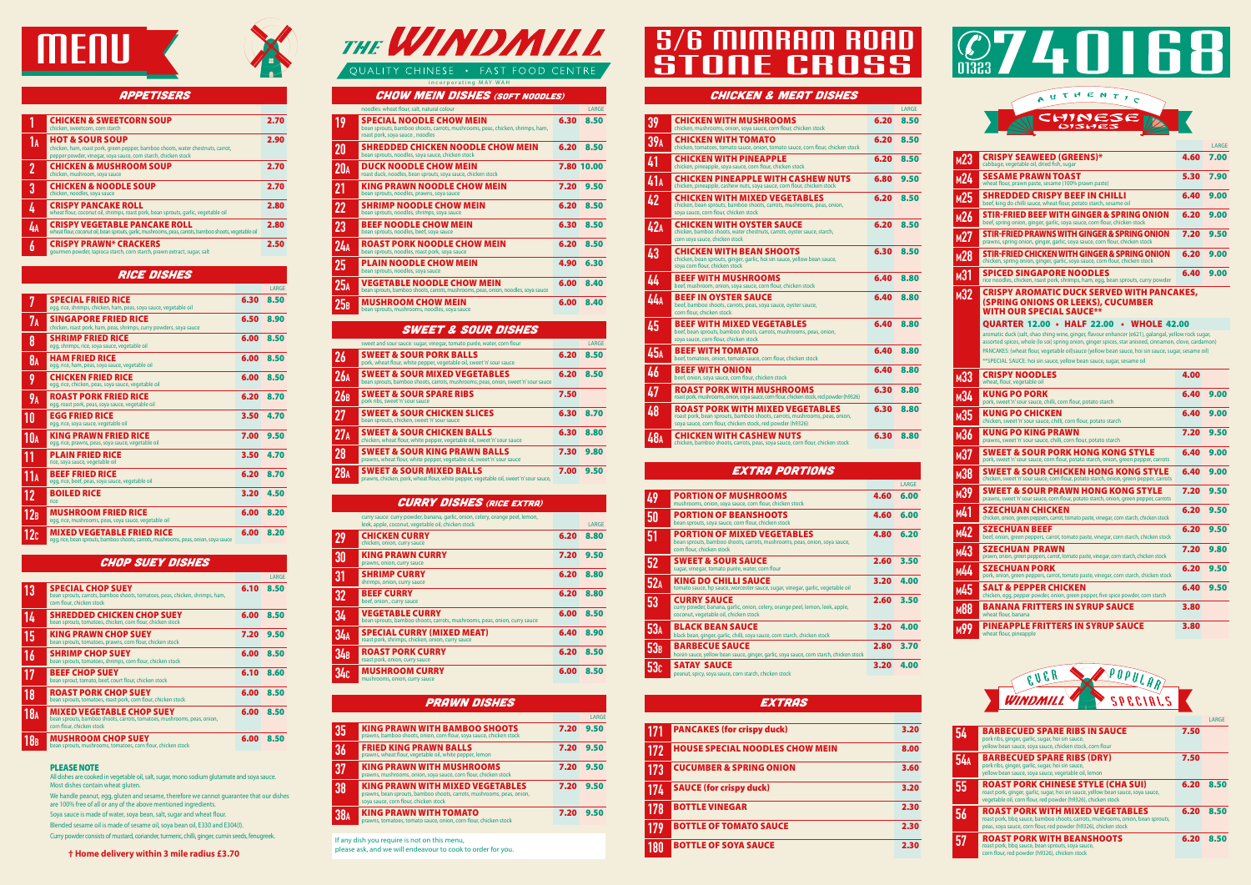



#### **APPETISERS**

#### Chicken & Meat Dishes

|                 |                                                                                                                                                                                   |      | LARGE |
|-----------------|-----------------------------------------------------------------------------------------------------------------------------------------------------------------------------------|------|-------|
| 39              | <b>CHICKEN WITH MUSHROOMS</b><br>chicken, mushrooms, onion, soya sauce, corn flour, chicken stock                                                                                 | 6.20 | 8.50  |
| 39 <sub>A</sub> | CHICKEN WITH TOMATO<br>chicken, tomatoes, tomato sauce, onion, tomato sauce, corn flour, chicken stock                                                                            | 6.20 | 8.50  |
| 41              | <b>CHICKEN WITH PINEAPPLE</b><br>chicken, pineapple, soya sauce, corn flour, chicken stock                                                                                        | 6.20 | 8.50  |
| 41A             | <b>CHICKEN PINEAPPLE WITH CASHEW NUTS</b><br>chicken, pineapple, cashew nuts, soya sauce, corn flour, chicken stock                                                               | 6.80 | 9.50  |
| 42              | <b>CHICKEN WITH MIXED VEGETABLES</b><br>chicken, bean sprouts, bamboo shoots, carrots, mushrooms, peas, onion,<br>sova sauce, corn flour, chicken stock                           | 6.20 | 8.50  |
| 42A             | <b>CHICKEN WITH OYSTER SAUCE</b><br>chicken, bamboo shoots, water chestnuts, carrots, oyster sauce, starch,<br>corn soya sauce, chicken stock                                     | 6.20 | 8.50  |
| 43              | <b>CHICKEN WITH BEAN SHOOTS</b><br>chicken, bean sprouts, ginger, garlic, hoi sin sauce, yellow bean sauce,<br>soya corn flour, chicken stock                                     | 6.30 | 8.50  |
| 44              | <b>BEEF WITH MUSHROOMS</b><br>beef, mushroom, onion, soya sauce, corn flour, chicken stock                                                                                        | 6.40 | 8.80  |
| 44a             | <b>BEEF IN OYSTER SAUCE</b><br>beef, bamboo shoots, carrots, peas, soya sauce, oyster sauce,<br>corn flour, chicken stock                                                         | 6.40 | 8.80  |
| 45              | <b>BEEF WITH MIXED VEGETABLES</b><br>beef, bean sprouts, bamboo shoots, carrots, mushrooms, peas, onion,<br>soya sauce, corn flour, chicken stock                                 | 6.40 | 8.80  |
| 45 <sub>A</sub> | <b>BEEF WITH TOMATO</b><br>beef, tomatoes, onion, tomato sauce, corn flour, chicken stock                                                                                         | 6.40 | 8.80  |
| 46              | <b>BEEF WITH ONION</b><br>beef, onion, soya sauce, corn flour, chicken stock                                                                                                      | 6.40 | 8.80  |
| 47              | <b>ROAST PORK WITH MUSHROOMS</b><br>roast pork, mushrooms, onion, soya sauce, corn flour, chicken stock, red powder (h9326)                                                       | 6.30 | 8.80  |
| 48              | <b>ROAST PORK WITH MIXED VEGETABLES</b><br>roast pork, bean sprouts, bamboo shoots, carrots, mushrooms, peas, onion,<br>soya sauce, corn flour, chicken stock, red powder (h9326) | 6.30 | 8.80  |
| 48A             | <b>CHICKEN WITH CASHEW NUTS</b><br>chicken, bamboo shoots, carrots, peas, soya sauce, corn flour, chicken stock                                                                   | 6.30 | 8.80  |

#### **EXTRA PORTIONS**

|    | <b>CHICKEN &amp; SWEETCORN SOUP</b><br>chicken, sweetcorn, corn starch                                                                                                          | 2.70 |
|----|---------------------------------------------------------------------------------------------------------------------------------------------------------------------------------|------|
| I٨ | <b>HOT &amp; SOUR SOUP</b><br>chicken, ham, roast pork, green pepper, bamboo shoots, water chestnuts, carrot,<br>pepper powder, vinegar, soya sauce, corn starch, chicken stock | 2.90 |
|    | <b>CHICKEN &amp; MUSHROOM SOUP</b><br>chicken, mushroom, soya sauce                                                                                                             | 2.70 |
| 3  | <b>CHICKEN &amp; NOODLE SOUP</b><br>chicken, noodles, soya sauce                                                                                                                | 2.70 |
|    | <b>CRISPY PANCAKE ROLL</b><br>wheat flour, coconut oil, shrimps, roast pork, bean sprouts, garlic, vegetable oil                                                                | 2.80 |
|    | <b>CRISPY VEGETABLE PANCAKE ROLL</b><br>wheat flour, coconut oil, bean sprouts, garlic, mushrooms, peas, carrots, bamboo shoots, vegetable oil                                  | 2.80 |
|    | <b>CRISPY PRAWN* CRACKERS</b><br>gourmen powder, tapioca starch, corn starch, prawn extract, sugar, salt                                                                        | 2.50 |
|    |                                                                                                                                                                                 |      |

|     |                                                                                                                                              |      | LARGE |
|-----|----------------------------------------------------------------------------------------------------------------------------------------------|------|-------|
| 49  | <b>PORTION OF MUSHROOMS</b><br>mushrooms, onion, soya sauce, corn flour, chicken stock                                                       | 4.60 | 6.00  |
| 50  | <b>PORTION OF BEANSHOOTS</b><br>bean sprouts, soya sauce, corn flour, chicken stock                                                          | 4.60 | 6.00  |
| 51  | <b>PORTION OF MIXED VEGETABLES</b><br>bean sprouts, bamboo shoots, carrots, mushrooms, peas, onion, soya sauce,<br>corn flour, chicken stock | 4.80 | 6.20  |
| 52  | <b>SWEET &amp; SOUR SAUCE</b><br>sugar, vinegar, tomato purée, water, corn flour                                                             | 2.60 | 3.50  |
| 52A | KING DO CHILLI SAUCE<br>tomato sauce, hp sauce, worcester sauce, sugar, vinegar, garlic, vegetable oil                                       | 3.20 | 4.00  |
| 53  | <b>CURRY SAUCE</b><br>curry powder, banana, garlic, onion, celery, orange peel, lemon, leek, apple,<br>coconut, vegetable oil, chicken stock | 2.60 | 3.50  |
| 53A | <b>BLACK BEAN SAUCE</b><br>black bean, ginger, garlic, chilli, soya sauce, corn starch, chicken stock                                        | 3.20 | 4.00  |
| 53B | <b>BARBECUE SAUCE</b><br>hoisin sauce, yellow bean sauce, ginger, garlic, soya sauce, corn starch, chicken stock                             | 2.80 | 3.70  |
| 53c | <b>SATAY SAUCE</b><br>peanut, spicy, soya sauce, corn starch, chicken stock                                                                  | 3.20 | 4.00  |

#### **EXTRAS**

|                 |                                                                                                                          |      | LARGE |
|-----------------|--------------------------------------------------------------------------------------------------------------------------|------|-------|
| 7               | <b>SPECIAL FRIED RICE</b><br>egg, rice, shrimps, chicken, ham, peas, soya sauce, vegetable oil                           | 6.30 | 8.50  |
| 7 <sub>A</sub>  | <b>SINGAPORE FRIED RICE</b><br>chicken, roast pork, ham, peas, shrimps, curry powders, soya sauce                        | 6.50 | 8.90  |
| 8               | <b>SHRIMP FRIED RICE</b><br>egg, shrimps, rice, soya sauce, vegetable oil                                                | 6.00 | 8.50  |
| 8 <sub>A</sub>  | <b>HAM FRIED RICE</b><br>egg, rice, ham, peas, soya sauce, vegetable oil                                                 | 6.00 | 8.50  |
| 9               | <b>CHICKEN FRIED RICE</b><br>egg, rice, chicken, peas, soya sauce, vegetable oil                                         | 6.00 | 8.50  |
| <b>9A</b>       | <b>ROAST PORK FRIED RICE</b><br>egg, roast pork, peas, soya sauce, vegetable oil                                         | 6.20 | 8.70  |
| 10              | <b>EGG FRIED RICE</b><br>egg, rice, soya sauce, vegetable oil                                                            | 3.50 | 4.70  |
| 10 <sub>A</sub> | <b>KING PRAWN FRIED RICE</b><br>egg, rice, prawns, peas, soya sauce, vegetable oil                                       | 7.00 | 9.50  |
| 11              | <b>PLAIN FRIED RICE</b><br>rice, soya sauce, vegetable oil                                                               | 3.50 | 4.70  |
| 11A             | <b>BEEF FRIED RICE</b><br>egg, rice, beef, peas, soya sauce, vegetable oil                                               | 6.20 | 8.70  |
| 12              | <b>BOILED RICE</b><br>rice                                                                                               | 3.20 | 4.50  |
| 12B             | <b>MUSHROOM FRIED RICE</b><br>egg, rice, mushrooms, peas, soya sauce, vegetable oil                                      | 6.00 | 8.20  |
| 12c             | <b>MIXED VEGETABLE FRIED RICE</b><br>egg, rice, bean sprouts, bamboo shoots, carrots, mushrooms, peas, onion, soya sauce | 6.00 | 8.20  |

|            |                                                                                                                                                                                               |      | LARGE |
|------------|-----------------------------------------------------------------------------------------------------------------------------------------------------------------------------------------------|------|-------|
|            | <b>BARBECUED SPARE RIBS IN SAUCE</b><br>pork ribs, ginger, garlic, sugar, hoi sin sauce,<br>yellow bean sauce, soya sauce, chicken stock, corn flour                                          | 7.50 |       |
| <b>54A</b> | <b>BARBECUED SPARE RIBS (DRY)</b><br>pork ribs, ginger, garlic, sugar, hoi sin sauce,<br>yellow bean sauce, soya sauce, vegetable oil, lemon                                                  | 7.50 |       |
| 55         | <b>ROAST PORK CHINESE STYLE (CHA SUI)</b><br>roast pork, ginger, garlic, sugar, hoi sin sauce, yellow bean sauce, soya sauce,<br>vegetable oil, corn flour, red powder (h9326), chicken stock | 6.20 | 8.50  |
| 56         | <b>ROAST PORK WITH MIXED VEGETABLES</b><br>roast pork, bbg sauce, bamboo shoots, carrots, mushrooms, onion, bean sprouts,<br>peas, soya sauce, corn flour, red powder (h9326), chicken stock  | 6.20 | 8.50  |
|            | <b>ROAST PORK WITH BEANSHOOTS</b><br>roast pork, bbq sauce, bean sprouts, soya sauce,<br>corn flour, red powder (h9326), chicken stock                                                        | 6.20 | 8.50  |

#### **CURRY DISHES (RICE EXTRA)**  curry sauce: curry powder, banana, garlic, onion, celery, orange peel, lemon, leek, apple, coconut, vegetable oil, chicken stock LARGE **29 CHICKEN CURRY 6.20 8.80** chicken, onion, curry sauce

#### RICE DISHES

#### Chop Suey Dishes

|                 |                                                                                                                                          |      | LARGE     |
|-----------------|------------------------------------------------------------------------------------------------------------------------------------------|------|-----------|
| 13              | <b>SPECIAL CHOP SUEY</b><br>bean sprouts, carrots, bamboo shoots, tomatoes, peas, chicken, shrimps, ham,<br>corn flour, chicken stock    |      | 6.10 8.50 |
| 14              | <b>SHREDDED CHICKEN CHOP SUEY</b><br>bean sprouts, tomatoes, chicken, corn flour, chicken stock                                          | 6.00 | 8.50      |
| 15              | <b>KING PRAWN CHOP SUEY</b><br>bean sprouts, tomatoes, prawns, corn flour, chicken stock                                                 | 7.20 | 9.50      |
| 16              | <b>SHRIMP CHOP SUEY</b><br>bean sprouts, tomatoes, shrimps, corn flour, chicken stock                                                    | 6.00 | 8.50      |
| 17              | <b>BEEF CHOP SUEY</b><br>bean sprout, tomato, beef, court flour, chicken stock                                                           | 6.10 | 8.60      |
| 18              | <b>ROAST PORK CHOP SUEY</b><br>bean sprouts, tomatoes, roast pork, corn flour, chicken stock                                             | 6.00 | 8.50      |
| 18 <sub>A</sub> | <b>MIXED VEGETABLE CHOP SUEY</b><br>bean sprouts, bamboo shoots, carrots, tomatoes, mushrooms, peas, onion,<br>corn flour, chicken stock | 6.00 | 8.50      |
| 18 <sub>B</sub> | <b>MUSHROOM CHOP SUEY</b><br>bean sprouts, mushrooms, tomatoes, corn flour, chicken stock                                                | 6.00 | 8.50      |

| M23             | <b>CRISPY SEAWEED (GREENS)*</b><br>cabbage, vegetable oil, dried fish, sugar                                                                                                                                                                                                                                                                                                              | 4.60 | 7.00 |
|-----------------|-------------------------------------------------------------------------------------------------------------------------------------------------------------------------------------------------------------------------------------------------------------------------------------------------------------------------------------------------------------------------------------------|------|------|
| м24             | <b>SESAME PRAWN TOAST</b><br>wheat flour, prawn paste, sesame (100% prawn paste)                                                                                                                                                                                                                                                                                                          | 5.30 | 7.90 |
| м25             | <b>SHREDDED CRISPY BEEF IN CHILLI</b><br>beef, king do chilli sauce, wheat flour, potato starch, sesame oil                                                                                                                                                                                                                                                                               | 6.40 | 9.00 |
| M26             | STIR-FRIED BEEF WITH GINGER & SPRING ONION<br>beef, spring onion, ginger, garlic, soya sauce, corn flour, chicken stock                                                                                                                                                                                                                                                                   | 6.20 | 9.00 |
| м27             | STIR-FRIED PRAWNS WITH GINGER & SPRING ONION<br>prawns, spring onion, ginger, garlic, soya sauce, corn flour, chicken stock                                                                                                                                                                                                                                                               | 7.20 | 9.50 |
| <b>M28</b>      | STIR-FRIED CHICKEN WITH GINGER & SPRING ONION<br>chicken, spring onion, ginger, garlic, soya sauce, corn flour, chicken stock                                                                                                                                                                                                                                                             | 6.20 | 9.00 |
| м31             | SPICED SINGAPORE NOODLES<br>rice noodles, chicken, roast pork, shrimps, ham, egg, bean sprouts, curry powder                                                                                                                                                                                                                                                                              | 6.40 | 9.00 |
| м32             | CRISPY AROMATIC DUCK SERVED WITH PANCAKES,<br>(SPRING ONIONS OR LEEKS), CUCUMBER<br><b>WITH OUR SPECIAL SAUCE**</b><br><b>OUARTER 12.00 • HALF 22.00</b><br><b>WHOLE 42.00</b>                                                                                                                                                                                                            |      |      |
|                 | aromatic duck (salt, shao shing wine, ginger, flavour enhancer (e621), galangal, yellow rock sugar,<br>assorted spices, whole (lo soi) spring onion, ginger spices, star aniseed, cinnamon, clove, cardamon)<br>PANCAKES: (wheat flour, vegetable oil)sauce (yellow bean sauce, hoi sin sauce, sugar, sesame oil)<br>**SPECIAL SAUCE: hoi sin sauce, yellow bean sauce, sugar, sesame oil |      |      |
| м33             | <b>CRISPY NOODLES</b><br>wheat, flour, vegetable oil                                                                                                                                                                                                                                                                                                                                      | 4.00 |      |
| м34             | KUNG PO PORK<br>pork, sweet 'n' sour sauce, chilli, corn flour, potato starch                                                                                                                                                                                                                                                                                                             | 6.40 | 9.00 |
| м35             | KUNG PO CHICKEN<br>chicken, sweet 'n' sour sauce, chilli, corn flour, potato starch                                                                                                                                                                                                                                                                                                       | 6.40 | 9.00 |
| м36             | KUNG PO KING PRAWN<br>prawns, sweet 'n' sour sauce, chilli, corn flour, potato starch                                                                                                                                                                                                                                                                                                     | 7.20 | 9.50 |
| м37             | SWEET & SOUR PORK HONG KONG STYLE<br>pork, sweet 'n' sour sauce, corn flour, potato starch, onion, green pepper, carrots                                                                                                                                                                                                                                                                  | 6.40 | 9.00 |
| м38             | SWEET & SOUR CHICKEN HONG KONG STYLE<br>chicken, sweet 'n' sour sauce, corn flour, potato starch, onion, green pepper, carrots                                                                                                                                                                                                                                                            | 6.40 | 9.00 |
| м39             | <b>SWEET &amp; SOUR PRAWN HONG KONG STYLE</b><br>prawns, sweet 'n' sour sauce, corn flour, potato starch, onion, green pepper, carrots                                                                                                                                                                                                                                                    | 7.20 | 9.50 |
| м41             | SZECHUAN CHICKEN<br>chicken, onion, green peppers, carrot, tomato paste, vinegar, corn starch, chicken stock                                                                                                                                                                                                                                                                              | 6.20 | 9.50 |
| M42             | <b>SZECHUAN BEEF</b><br>beef, onion, green peppers, carrot, tomato paste, vinegar, corn starch, chicken stock                                                                                                                                                                                                                                                                             | 6.20 | 9.50 |
| M <sub>43</sub> | <b>SZECHUAN PRAWN</b><br>prawn, onion, green peppers, carrot, tomato paste, vinegar, corn starch, chicken stock                                                                                                                                                                                                                                                                           | 7.20 | 9.80 |
| M44             | <b>SZECHUAN PORK</b><br>pork, onion, green peppers, carrot, tomato paste, vinegar, corn starch, chicken stock                                                                                                                                                                                                                                                                             | 6.20 | 9.50 |
| M45             | <b>SALT &amp; PEPPER CHICKEN</b><br>chicken, egg, pepper powder, onion, green pepper, five spice powder, corn starch                                                                                                                                                                                                                                                                      | 6.40 | 9.50 |
| м88             | <b>BANANA FRITTERS IN SYRUP SAUCE</b><br>wheat flour, banana                                                                                                                                                                                                                                                                                                                              | 3.80 |      |
| м99             | <b>PINEAPPLE FRITTERS IN SYRUP SAUCE</b><br>wheat flour, pineapple                                                                                                                                                                                                                                                                                                                        | 3.80 |      |



| 171        | <b>PANCAKES (for crispy duck)</b>      | 3.20 |
|------------|----------------------------------------|------|
| <b>172</b> | <b>HOUSE SPECIAL NOODLES CHOW MEIN</b> | 8.00 |
| 173        | <b>CUCUMBER &amp; SPRING ONION</b>     | 3.60 |
| 174        | <b>SAUCE (for crispy duck)</b>         | 3.20 |
| <b>178</b> | <b>BOTTLE VINEGAR</b>                  | 2.30 |
| 179        | <b>BOTTLE OF TOMATO SAUCE</b>          | 2.30 |
| 180        | <b>BOTTLE OF SOYA SAUCE</b>            | 2.30 |





If any dish you require is not on this menu,

please ask, and we will endeavour to cook to order for you.

## **S/6 MIMRAM ROAD E CROSS** S

| 30  | <b>KING PRAWN CURRY</b><br>prawns, onion, curry sauce                                               | 7.20 | 9.50 |
|-----|-----------------------------------------------------------------------------------------------------|------|------|
| 31  | <b>SHRIMP CURRY</b><br>shrimps, onion, curry sauce                                                  | 6.20 | 8.80 |
| 32  | <b>BEEF CURRY</b><br>beef, onion, curry sauce                                                       | 6.20 | 8.80 |
| 34  | <b>VEGETABLE CURRY</b><br>bean sprouts, bamboo shoots, carrots, mushrooms, peas, onion, curry sauce | 6.00 | 8.50 |
| 34A | <b>SPECIAL CURRY (MIXED MEAT)</b><br>roast pork, shrimps, chicken, onion, curry sauce               | 6.40 | 8.90 |
| 34B | <b>ROAST PORK CURRY</b><br>roast pork, onion, curry sauce                                           | 6.20 | 8.50 |
| 34c | <b>MUSHROOM CURRY</b><br>mushrooms, onion, curry sauce                                              | 6.00 | 8.50 |

#### Prawn Dishes

|            |                                                                                                                                                           |      | LARGE |
|------------|-----------------------------------------------------------------------------------------------------------------------------------------------------------|------|-------|
| 35         | <b>KING PRAWN WITH BAMBOO SHOOTS</b><br>prawns, bamboo shoots, onion, corn flour, soya sauce, chicken stock                                               | 7.20 | 9.50  |
| 36         | <b>FRIED KING PRAWN BALLS</b><br>prawns, wheat flour, vegetable oil, white pepper, lemon                                                                  | 7.20 | 9.50  |
| 37         | <b>KING PRAWN WITH MUSHROOMS</b><br>prawns, mushrooms, onion, soya sauce, corn flour, chicken stock                                                       | 7.20 | 9.50  |
| 38         | <b>KING PRAWN WITH MIXED VEGETABLES</b><br>prawns, bean sprouts, bamboo shoots, carrots, mushrooms, peas, onion,<br>soya sauce, corn flour, chicken stock | 7.20 | 9.50  |
| <b>38A</b> | <b>KING PRAWN WITH TOMATO</b><br>prawns, tomatoes, tomato sauce, onion, corn flour, chicken stock                                                         | 7.20 | 9.50  |
|            |                                                                                                                                                           |      |       |

|                 | noodles: wheat flour, salt, natural colour                                                                                                          |      | LARGE      |
|-----------------|-----------------------------------------------------------------------------------------------------------------------------------------------------|------|------------|
| 19              | <b>SPECIAL NOODLE CHOW MEIN</b><br>bean sprouts, bamboo shoots, carrots, mushrooms, peas, chicken, shrimps, ham,<br>roast pork, soya sauce, noodles | 6.30 | 8.50       |
| $20\,$          | <b>SHREDDED CHICKEN NOODLE CHOW MEIN</b><br>bean sprouts, noodles, soya sauce, chicken stock                                                        | 6.20 | 8.50       |
| 20 <sub>A</sub> | <b>DUCK NOODLE CHOW MEIN</b><br>roast duck, noodles, bean sprouts, soya sauce, chicken stock                                                        |      | 7.80 10.00 |
| 21              | KING PRAWN NOODLE CHOW MEIN<br>bean sprouts, noodles, prawns, soya sauce                                                                            | 7.20 | 9.50       |
| $\overline{22}$ | <b>SHRIMP NOODLE CHOW MEIN</b><br>bean sprouts, noodles, shrimps, soya sauce                                                                        | 6.20 | 8.50       |
| 23              | <b>BEEF NOODLE CHOW MEIN</b><br>bean sprouts, noodles, beef, soya sauce                                                                             | 6.30 | 8.50       |
| 24A             | <b>ROAST PORK NOODLE CHOW MEIN</b><br>bean sprouts, noodles, roast pork, soya sauce                                                                 | 6.20 | 8.50       |
| 25              | <b>PLAIN NOODLE CHOW MEIN</b><br>bean sprouts, noodles, soya sauce                                                                                  | 4.90 | 6.30       |
| 25 <sub>A</sub> | <b>VEGETABLE NOODLE CHOW MEIN</b><br>bean sprouts, bamboo shoots, carrots, mushrooms, peas, onion, noodles, soya sauce                              | 6.00 | 8.40       |
| 25B             | <b>MUSHROOM CHOW MEIN</b><br>bean sprouts, mushrooms, noodles, soya sauce                                                                           | 6.00 | 8.40       |

### Sweet & Sour Dishes

|                 | sweet and sour sauce: sugar, vinegar, tomato purée, water, corn flour                                                          |      | LARGE |
|-----------------|--------------------------------------------------------------------------------------------------------------------------------|------|-------|
| 26              | <b>SWEET &amp; SOUR PORK BALLS</b><br>pork, wheat flour, white pepper, vegetable oil, sweet 'n' sour sauce                     | 6.20 | 8.50  |
| 26A             | <b>SWEET &amp; SOUR MIXED VEGETABLES</b><br>bean sprouts, bamboo shoots, carrots, mushrooms, peas, onion, sweet 'n' sour sauce | 6.20 | 8.50  |
| 26B             | <b>SWEET &amp; SOUR SPARE RIBS</b><br>pork ribs, sweet 'n' sour sauce                                                          | 7.50 |       |
| 27              | <b>SWEET &amp; SOUR CHICKEN SLICES</b><br>bean sprouts, chicken, sweet 'n' sour sauce                                          | 6.30 | 8.70  |
| 27 <sub>A</sub> | <b>SWEET &amp; SOUR CHICKEN BALLS</b><br>chicken, wheat flour, white pepper, vegetable oil, sweet 'n' sour sauce               | 6.30 | 8.80  |
| 28              | <b>SWEET &amp; SOUR KING PRAWN BALLS</b><br>prawns, wheat flour, white pepper, vegetable oil, sweet 'n' sour sauce             | 7.30 | 9.80  |
| 28 <sub>A</sub> | <b>SWEET &amp; SOUR MIXED BALLS</b><br>prawns, chicken, pork, wheat flour, white pepper, vegetable oil, sweet 'n' sour sauce,  | 7.00 | 9.50  |

incorporating MAY WAH

#### **CHOW MEIN DISHES (SOFT NOODLES)**

LARGE

#### PLEASE NOTE

All dishes are cooked in vegetable oil, salt, sugar, mono sodium glutamate and soya sauce. Most dishes contain wheat gluten.

We handle peanut, egg, gluten and sesame, therefore we cannot guarantee that our dishes are 100% free of all or any of the above mentioned ingredients. Soya sauce is made of water, soya bean, salt, sugar and wheat flour.

Blended sesame oil is made of sesame oil, soya bean oil, E330 and E304(I).

Curry powder consists of mustard, coriander, turmeric, chilli, ginger, cumin seeds, fenugreek.